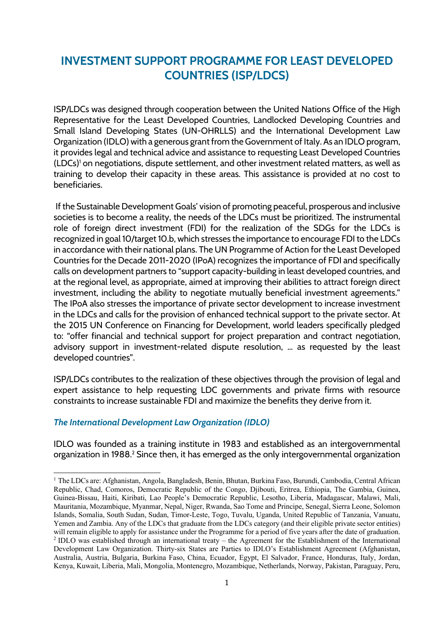# **INVESTMENT SUPPORT PROGRAMME FOR LEAST DEVELOPED COUNTRIES (ISP/LDCS)**

ISP/LDCs was designed through cooperation between the United Nations Office of the High Representative for the Least Developed Countries, Landlocked Developing Countries and Small Island Developing States (UN-OHRLLS) and the International Development Law Organization (IDLO) with a generous grant from the Government of Italy. As an IDLO program, it provides legal and technical advice and assistance to requesting Least Developed Countries (LDCs) <sup>1</sup> on negotiations, dispute settlement, and other investment related matters, as well as training to develop their capacity in these areas. This assistance is provided at no cost to beneficiaries.

If the Sustainable Development Goals' vision of promoting peaceful, prosperous and inclusive societies is to become a reality, the needs of the LDCs must be prioritized. The instrumental role of foreign direct investment (FDI) for the realization of the SDGs for the LDCs is recognized in goal 10/target 10.b, which stresses the importance to encourage FDI to the LDCs in accordance with their national plans. The UN Programme of Action for the Least Developed Countries for the Decade 2011-2020 (IPoA) recognizes the importance of FDI and specifically calls on development partners to "support capacity-building in least developed countries, and at the regional level, as appropriate, aimed at improving their abilities to attract foreign direct investment, including the ability to negotiate mutually beneficial investment agreements." The IPoA also stresses the importance of private sector development to increase investment in the LDCs and calls for the provision of enhanced technical support to the private sector. At the 2015 UN Conference on Financing for Development, world leaders specifically pledged to: "offer financial and technical support for project preparation and contract negotiation, advisory support in investment-related dispute resolution, … as requested by the least developed countries".

ISP/LDCs contributes to the realization of these objectives through the provision of legal and expert assistance to help requesting LDC governments and private firms with resource constraints to increase sustainable FDI and maximize the benefits they derive from it.

#### *The International Development Law Organization (IDLO)*

IDLO was founded as a training institute in 1983 and established as an intergovernmental organization in 1988.<sup>2</sup> Since then, it has emerged as the only intergovernmental organization

<sup>&</sup>lt;sup>1</sup> The LDCs are: Afghanistan, Angola, Bangladesh, Benin, Bhutan, Burkina Faso, Burundi, Cambodia, Central African Republic, Chad, Comoros, Democratic Republic of the Congo, Djibouti, Eritrea, Ethiopia, The Gambia, Guinea, Guinea-Bissau, Haiti, Kiribati, Lao People's Democratic Republic, Lesotho, Liberia, Madagascar, Malawi, Mali, Mauritania, Mozambique, Myanmar, Nepal, Niger, Rwanda, Sao Tome and Principe, Senegal, Sierra Leone, Solomon Islands, Somalia, South Sudan, Sudan, Timor-Leste, Togo, Tuvalu, Uganda, United Republic of Tanzania, Vanuatu, Yemen and Zambia. Any of the LDCs that graduate from the LDCs category (and their eligible private sector entities) will remain eligible to apply for assistance under the Programme for a period of five years after the date of graduation. <sup>2</sup> IDLO was established through an international treaty – the Agreement for the Establishment of the International Development Law Organization. Thirty-six States are Parties to IDLO's Establishment Agreement (Afghanistan, Australia, Austria, Bulgaria, Burkina Faso, China, Ecuador, Egypt, El Salvador, France, Honduras, Italy, Jordan, Kenya, Kuwait, Liberia, Mali, Mongolia, Montenegro, Mozambique, Netherlands, Norway, Pakistan, Paraguay, Peru,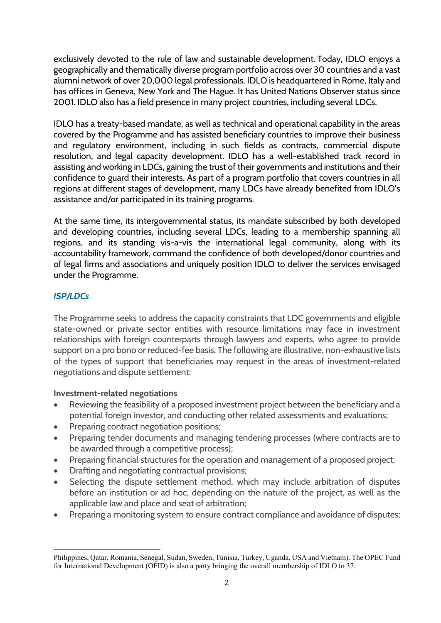exclusively devoted to the rule of law and sustainable development. Today, IDLO enjoys a geographically and thematically diverse program portfolio across over 30 countries and a vast alumni network of over 20,000 legal professionals. IDLO is headquartered in Rome, Italy and has offices in Geneva, New York and The Hague. It has United Nations Observer status since 2001. IDLO also has a field presence in many project countries, including several LDCs.

IDLO has a treaty-based mandate, as well as technical and operational capability in the areas covered by the Programme and has assisted beneficiary countries to improve their business and regulatory environment, including in such fields as contracts, commercial dispute resolution, and legal capacity development. IDLO has a well-established track record in assisting and working in LDCs, gaining the trust of their governments and institutions and their confidence to guard their interests. As part of a program portfolio that covers countries in all regions at different stages of development, many LDCs have already benefited from IDLO's assistance and/or participated in its training programs.

At the same time, its intergovernmental status, its mandate subscribed by both developed and developing countries, including several LDCs, leading to a membership spanning all regions, and its standing vis-a-vis the international legal community, along with its accountability framework, command the confidence of both developed/donor countries and of legal firms and associations and uniquely position IDLO to deliver the services envisaged under the Programme.

## *ISP/LDCs*

The Programme seeks to address the capacity constraints that LDC governments and eligible state-owned or private sector entities with resource limitations may face in investment relationships with foreign counterparts through lawyers and experts, who agree to provide support on a pro bono or reduced-fee basis. The following are illustrative, non-exhaustive lists of the types of support that beneficiaries may request in the areas of investment-related negotiations and dispute settlement:

## **Investment-related negotiations**

- Reviewing the feasibility of a proposed investment project between the beneficiary and a potential foreign investor, and conducting other related assessments and evaluations;
- Preparing contract negotiation positions;
- Preparing tender documents and managing tendering processes (where contracts are to be awarded through a competitive process);
- Preparing financial structures for the operation and management of a proposed project;
- Drafting and negotiating contractual provisions;
- Selecting the dispute settlement method, which may include arbitration of disputes before an institution or ad hoc, depending on the nature of the project, as well as the applicable law and place and seat of arbitration;
- Preparing a monitoring system to ensure contract compliance and avoidance of disputes;

Philippines, Qatar, Romania, Senegal, Sudan, Sweden, Tunisia, Turkey, Uganda, USA and Vietnam). The OPEC Fund for International Development (OFID) is also a party bringing the overall membership of IDLO to 37.